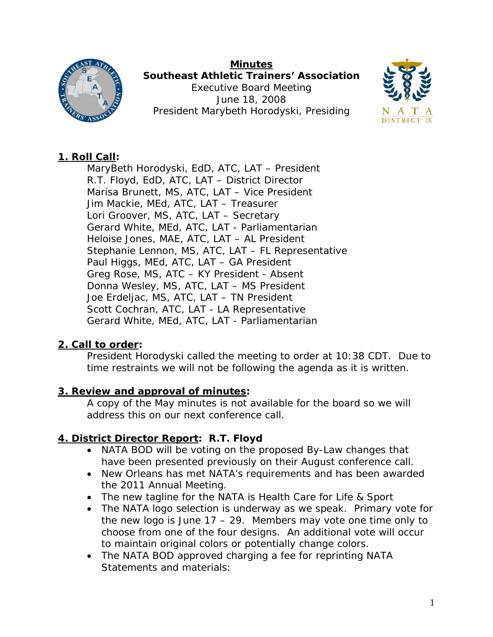

**Minutes Southeast Athletic Trainers' Association**  Executive Board Meeting June 18, 2008 President Marybeth Horodyski, Presiding



# **1. Roll Call:**

MaryBeth Horodyski, EdD, ATC, LAT – President R.T. Floyd, EdD, ATC, LAT – District Director Marisa Brunett, MS, ATC, LAT – Vice President Jim Mackie, MEd, ATC, LAT – Treasurer Lori Groover, MS, ATC, LAT – Secretary Gerard White, MEd, ATC, LAT - Parliamentarian Heloise Jones, MAE, ATC, LAT – AL President Stephanie Lennon, MS, ATC, LAT – FL Representative Paul Higgs, MEd, ATC, LAT – GA President Greg Rose, MS, ATC – KY President - Absent Donna Wesley, MS, ATC, LAT – MS President Joe Erdeljac, MS, ATC, LAT – TN President Scott Cochran, ATC, LAT - LA Representative Gerard White, MEd, ATC, LAT - Parliamentarian

# **2. Call to order:**

President Horodyski called the meeting to order at 10:38 CDT. Due to time restraints we will not be following the agenda as it is written.

## **3. Review and approval of minutes:**

A copy of the May minutes is not available for the board so we will address this on our next conference call.

# **4. District Director Report: R.T. Floyd**

- NATA BOD will be voting on the proposed By-Law changes that have been presented previously on their August conference call.
- New Orleans has met NATA's requirements and has been awarded the 2011 Annual Meeting.
- The new tagline for the NATA is *Health Care for Life & Sport*
- The NATA logo selection is underway as we speak. Primary vote for the new logo is June  $17 - 29$ . Members may vote one time only to choose from one of the four designs. An additional vote will occur to maintain original colors or potentially change colors.
- The NATA BOD approved charging a fee for reprinting NATA Statements and materials: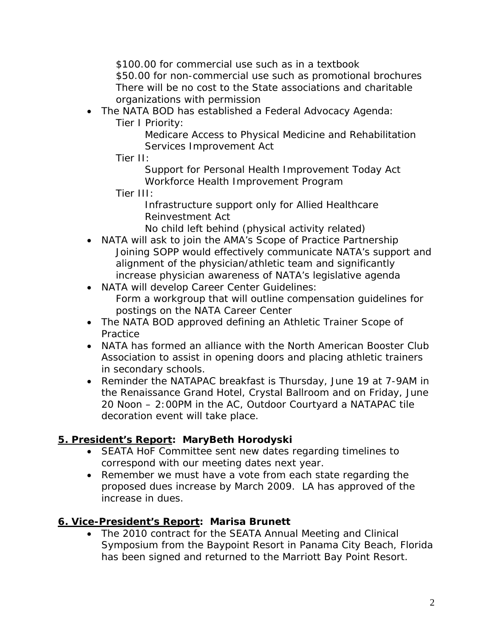\$100.00 for commercial use such as in a textbook \$50.00 for non-commercial use such as promotional brochures There will be no cost to the State associations and charitable organizations with permission

- The NATA BOD has established a Federal Advocacy Agenda:
	- Tier I Priority:

Medicare Access to Physical Medicine and Rehabilitation Services Improvement Act

Tier II:

Support for Personal Health Improvement Today Act Workforce Health Improvement Program

Tier III:

Infrastructure support only for Allied Healthcare Reinvestment Act

- No child left behind (physical activity related)
- NATA will ask to join the AMA's Scope of Practice Partnership Joining SOPP would effectively communicate NATA's support and alignment of the physician/athletic team and significantly increase physician awareness of NATA's legislative agenda
- NATA will develop Career Center Guidelines: Form a workgroup that will outline compensation guidelines for postings on the NATA Career Center
- The NATA BOD approved defining an Athletic Trainer Scope of **Practice**
- NATA has formed an alliance with the North American Booster Club Association to assist in opening doors and placing athletic trainers in secondary schools.
- Reminder the NATAPAC breakfast is Thursday, June 19 at 7-9AM in the Renaissance Grand Hotel, Crystal Ballroom and on Friday, June 20 Noon – 2:00PM in the AC, Outdoor Courtyard a NATAPAC tile decoration event will take place.

# **5. President's Report: MaryBeth Horodyski**

- SEATA HoF Committee sent new dates regarding timelines to correspond with our meeting dates next year.
- Remember we must have a vote from each state regarding the proposed dues increase by March 2009. LA has approved of the increase in dues.

## **6. Vice-President's Report: Marisa Brunett**

• The 2010 contract for the SEATA Annual Meeting and Clinical Symposium from the Baypoint Resort in Panama City Beach, Florida has been signed and returned to the Marriott Bay Point Resort.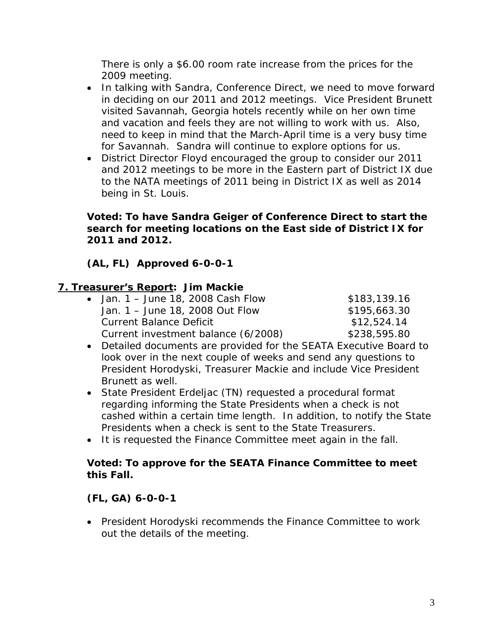There is only a \$6.00 room rate increase from the prices for the 2009 meeting.

- In talking with Sandra, Conference Direct, we need to move forward in deciding on our 2011 and 2012 meetings. Vice President Brunett visited Savannah, Georgia hotels recently while on her own time and vacation and feels they are not willing to work with us. Also, need to keep in mind that the March-April time is a very busy time for Savannah. Sandra will continue to explore options for us.
- District Director Floyd encouraged the group to consider our 2011 and 2012 meetings to be more in the Eastern part of District IX due to the NATA meetings of 2011 being in District IX as well as 2014 being in St. Louis.

#### **Voted: To have Sandra Geiger of Conference Direct to start the search for meeting locations on the East side of District IX for 2011 and 2012.**

## **(AL, FL) Approved 6-0-0-1**

#### **7. Treasurer's Report: Jim Mackie**

| $\bullet$ Jan. 1 – June 18, 2008 Cash Flow | \$183,139.16 |
|--------------------------------------------|--------------|
| Jan. 1 – June 18, 2008 Out Flow            | \$195,663.30 |
| <b>Current Balance Deficit</b>             | \$12,524.14  |
| Current investment balance (6/2008)        | \$238,595.80 |

- Detailed documents are provided for the SEATA Executive Board to look over in the next couple of weeks and send any questions to President Horodyski, Treasurer Mackie and include Vice President Brunett as well.
- State President Erdeljac (TN) requested a procedural format regarding informing the State Presidents when a check is not cashed within a certain time length. In addition, to notify the State Presidents when a check is sent to the State Treasurers.
- It is requested the Finance Committee meet again in the fall.

#### **Voted: To approve for the SEATA Finance Committee to meet this Fall.**

#### **(FL, GA) 6-0-0-1**

• President Horodyski recommends the Finance Committee to work out the details of the meeting.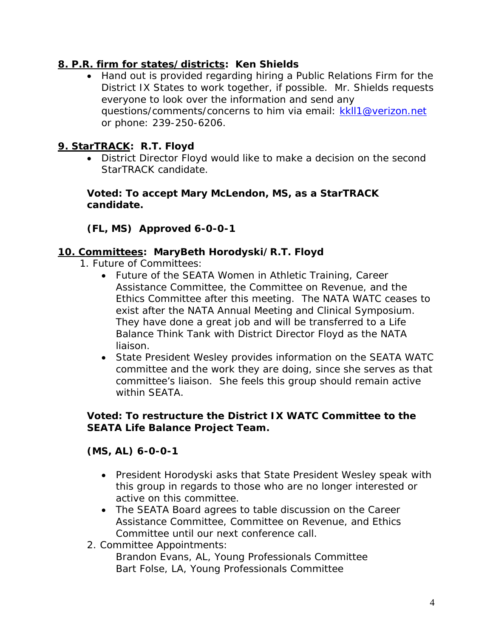## **8. P.R. firm for states/districts: Ken Shields**

• Hand out is provided regarding hiring a Public Relations Firm for the District IX States to work together, if possible. Mr. Shields requests everyone to look over the information and send any questions/comments/concerns to him via email: kkll1@verizon.net or phone: 239-250-6206.

### **9. StarTRACK: R.T. Floyd**

• District Director Floyd would like to make a decision on the second StarTRACK candidate.

#### **Voted: To accept Mary McLendon, MS, as a StarTRACK candidate.**

### **(FL, MS) Approved 6-0-0-1**

#### **10. Committees: MaryBeth Horodyski/R.T. Floyd**

- 1. Future of Committees:
	- Future of the SEATA Women in Athletic Training, Career Assistance Committee, the Committee on Revenue, and the Ethics Committee after this meeting. The NATA WATC ceases to exist after the NATA Annual Meeting and Clinical Symposium. They have done a great job and will be transferred to a Life Balance Think Tank with District Director Floyd as the NATA liaison.
	- State President Wesley provides information on the SEATA WATC committee and the work they are doing, since she serves as that committee's liaison. She feels this group should remain active within SEATA.

#### **Voted: To restructure the District IX WATC Committee to the SEATA Life Balance Project Team.**

#### **(MS, AL) 6-0-0-1**

- President Horodyski asks that State President Wesley speak with this group in regards to those who are no longer interested or active on this committee.
- The SEATA Board agrees to table discussion on the Career Assistance Committee, Committee on Revenue, and Ethics Committee until our next conference call.
- 2. Committee Appointments:

Brandon Evans, AL, Young Professionals Committee Bart Folse, LA, Young Professionals Committee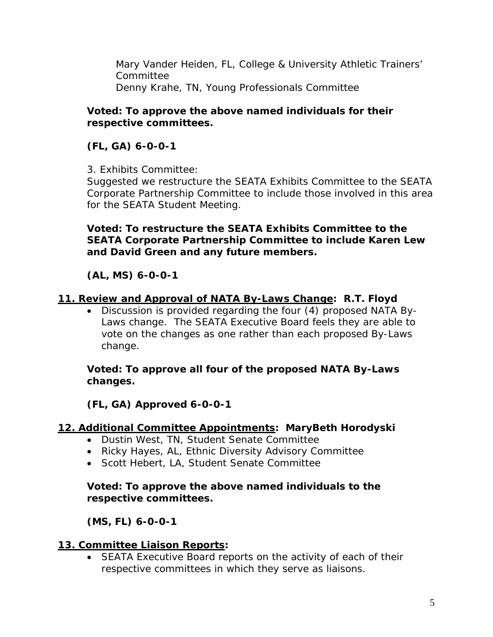Mary Vander Heiden, FL, College & University Athletic Trainers' Committee Denny Krahe, TN, Young Professionals Committee

#### **Voted: To approve the above named individuals for their respective committees.**

# **(FL, GA) 6-0-0-1**

3. Exhibits Committee:

Suggested we restructure the SEATA Exhibits Committee to the SEATA Corporate Partnership Committee to include those involved in this area for the SEATA Student Meeting.

### **Voted: To restructure the SEATA Exhibits Committee to the SEATA Corporate Partnership Committee to include Karen Lew and David Green and any future members.**

# **(AL, MS) 6-0-0-1**

### **11. Review and Approval of NATA By-Laws Change: R.T. Floyd**

• Discussion is provided regarding the four (4) proposed NATA By-Laws change. The SEATA Executive Board feels they are able to vote on the changes as one rather than each proposed By-Laws change.

**Voted: To approve all four of the proposed NATA By-Laws changes.** 

**(FL, GA) Approved 6-0-0-1** 

## **12. Additional Committee Appointments: MaryBeth Horodyski**

- Dustin West, TN, Student Senate Committee
- Ricky Hayes, AL, Ethnic Diversity Advisory Committee
- Scott Hebert, LA, Student Senate Committee

### **Voted: To approve the above named individuals to the respective committees.**

## **(MS, FL) 6-0-0-1**

## **13. Committee Liaison Reports:**

• SEATA Executive Board reports on the activity of each of their respective committees in which they serve as liaisons.